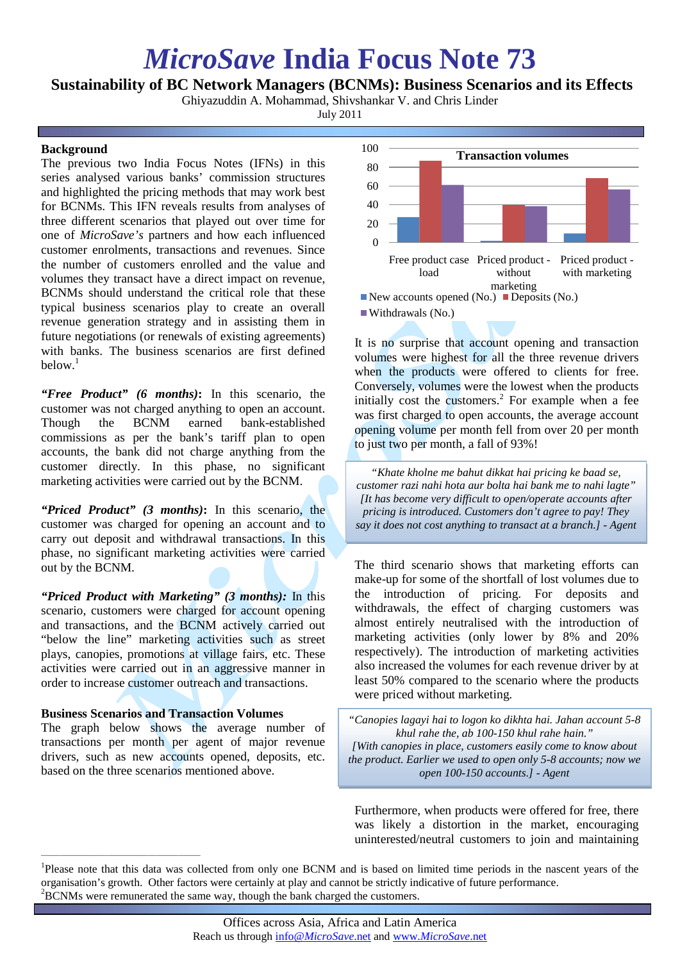# *MicroSave* **India Focus Note 73**

## **Sustainability of BC Network Managers (BCNMs): Business Scenarios and its Effects**

Ghiyazuddin A. Mohammad, Shivshankar V. and Chris Linder

July 2011

### **Background**

The previous two India Focus Notes (IFNs) in this series analysed various banks' commission structures and highlighted the pricing methods that may work best for BCNMs. This IFN reveals results from analyses of three different scenarios that played out over time for one of *MicroSave's* partners and how each influenced customer enrolments, transactions and revenues. Since the number of customers enrolled and the value and volumes they transact have a direct impact on revenue, BCNMs should understand the critical role that these typical business scenarios play to create an overall revenue generation strategy and in assisting them in future negotiations (or renewals of existing agreements) with banks. The business scenarios are first defined below.<sup>1</sup>

*"Free Product" (6 months)***:** In this scenario, the customer was not charged anything to open an account. Though the BCNM earned bank-established commissions as per the bank's tariff plan to open accounts, the bank did not charge anything from the customer directly. In this phase, no significant marketing activities were carried out by the BCNM.

*"Priced Product" (3 months)***:** In this scenario, the customer was charged for opening an account and to carry out deposit and withdrawal transactions. In this phase, no significant marketing activities were carried out by the BCNM.

*"Priced Product with Marketing" (3 months):* In this scenario, customers were charged for account opening and transactions, and the BCNM actively carried out "below the line" marketing activities such as street plays, canopies, promotions at village fairs, etc. These activities were carried out in an aggressive manner in order to increase customer outreach and transactions.

#### **Business Scenarios and Transaction Volumes**

 $\overline{\phantom{a}}$  , and the contract of the contract of the contract of the contract of the contract of the contract of the contract of the contract of the contract of the contract of the contract of the contract of the contrac

The graph below shows the average number of transactions per month per agent of major revenue drivers, such as new accounts opened, deposits, etc. based on the three scenarios mentioned above.



It is no surprise that account opening and transaction volumes were highest for all the three revenue drivers when the products were offered to clients for free. Conversely, volumes were the lowest when the products initially cost the customers. <sup>2</sup> For example when a fee was first charged to open accounts, the average account opening volume per month fell from over 20 per month to just two per month, a fall of 93%!

*"Khate kholne me bahut dikkat hai pricing ke baad se, customer razi nahi hota aur bolta hai bank me to nahi lagte" [It has become very difficult to open/operate accounts after pricing is introduced. Customers don't agree to pay! They say it does not cost anything to transact at a branch.] - Agent*

The third scenario shows that marketing efforts can make-up for some of the shortfall of lost volumes due to the introduction of pricing. For deposits and withdrawals, the effect of charging customers was almost entirely neutralised with the introduction of marketing activities (only lower by 8% and 20% respectively). The introduction of marketing activities also increased the volumes for each revenue driver by at least 50% compared to the scenario where the products were priced without marketing.

*"Canopies lagayi hai to logon ko dikhta hai. Jahan account 5-8 khul rahe the, ab 100-150 khul rahe hain." [With canopies in place, customers easily come to know about the product. Earlier we used to open only 5-8 accounts; now we open 100-150 accounts.] - Agent*

Furthermore, when products were offered for free, there was likely a distortion in the market, encouraging uninterested/neutral customers to join and maintaining

<sup>&</sup>lt;sup>1</sup>Please note that this data was collected from only one BCNM and is based on limited time periods in the nascent years of the organisation's growth. Other factors were certainly at play and cannot be strictly indicative of future performance. 2  ${}^{2}$ BCNMs were remunerated the same way, though the bank charged the customers.